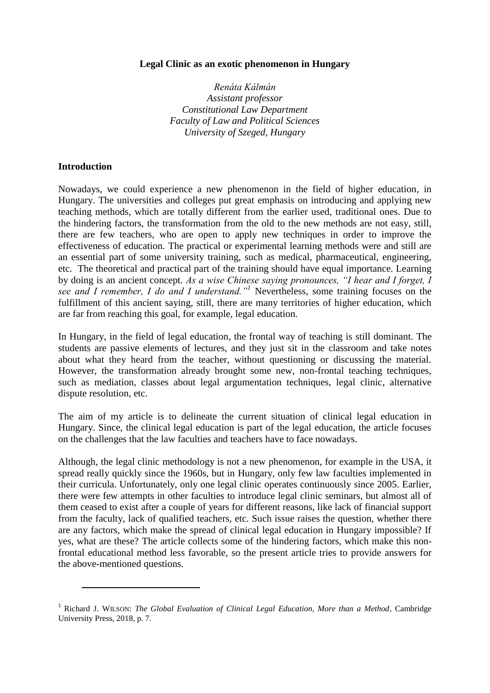### **Legal Clinic as an exotic phenomenon in Hungary**

*Renáta Kálmán Assistant professor Constitutional Law Department Faculty of Law and Political Sciences University of Szeged, Hungary*

#### **Introduction**

 $\overline{\phantom{a}}$ 

Nowadays, we could experience a new phenomenon in the field of higher education, in Hungary. The universities and colleges put great emphasis on introducing and applying new teaching methods, which are totally different from the earlier used, traditional ones. Due to the hindering factors, the transformation from the old to the new methods are not easy, still, there are few teachers, who are open to apply new techniques in order to improve the effectiveness of education. The practical or experimental learning methods were and still are an essential part of some university training, such as medical, pharmaceutical, engineering, etc. The theoretical and practical part of the training should have equal importance. Learning by doing is an ancient concept. *As a wise Chinese saying pronounces, "I hear and I forget, I see and I remember, I do and I understand."<sup>1</sup>* Nevertheless, some training focuses on the fulfillment of this ancient saying, still, there are many territories of higher education, which are far from reaching this goal, for example, legal education.

In Hungary, in the field of legal education, the frontal way of teaching is still dominant. The students are passive elements of lectures, and they just sit in the classroom and take notes about what they heard from the teacher, without questioning or discussing the material. However, the transformation already brought some new, non-frontal teaching techniques, such as mediation, classes about legal argumentation techniques, legal clinic, alternative dispute resolution, etc.

The aim of my article is to delineate the current situation of clinical legal education in Hungary. Since, the clinical legal education is part of the legal education, the article focuses on the challenges that the law faculties and teachers have to face nowadays.

Although, the legal clinic methodology is not a new phenomenon, for example in the USA, it spread really quickly since the 1960s, but in Hungary, only few law faculties implemented in their curricula. Unfortunately, only one legal clinic operates continuously since 2005. Earlier, there were few attempts in other faculties to introduce legal clinic seminars, but almost all of them ceased to exist after a couple of years for different reasons, like lack of financial support from the faculty, lack of qualified teachers, etc. Such issue raises the question, whether there are any factors, which make the spread of clinical legal education in Hungary impossible? If yes, what are these? The article collects some of the hindering factors, which make this nonfrontal educational method less favorable, so the present article tries to provide answers for the above-mentioned questions.

<sup>&</sup>lt;sup>1</sup> Richard J. WILSON: *The Global Evaluation of Clinical Legal Education, More than a Method, Cambridge* University Press, 2018, p. 7.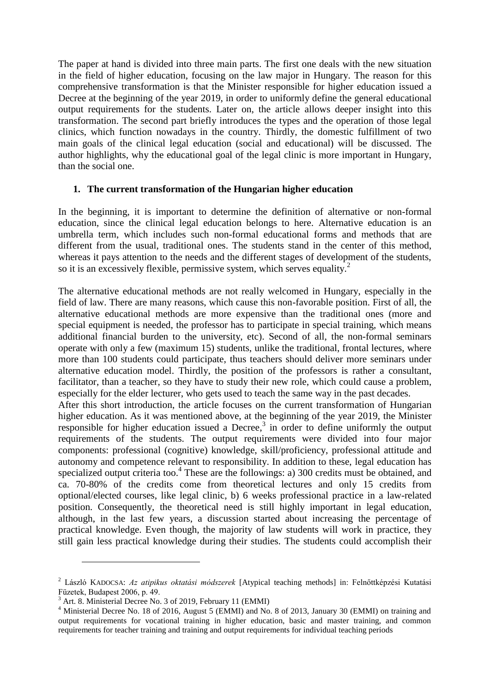The paper at hand is divided into three main parts. The first one deals with the new situation in the field of higher education, focusing on the law major in Hungary. The reason for this comprehensive transformation is that the Minister responsible for higher education issued a Decree at the beginning of the year 2019, in order to uniformly define the general educational output requirements for the students. Later on, the article allows deeper insight into this transformation. The second part briefly introduces the types and the operation of those legal clinics, which function nowadays in the country. Thirdly, the domestic fulfillment of two main goals of the clinical legal education (social and educational) will be discussed. The author highlights, why the educational goal of the legal clinic is more important in Hungary, than the social one.

## **1. The current transformation of the Hungarian higher education**

In the beginning, it is important to determine the definition of alternative or non-formal education, since the clinical legal education belongs to here. Alternative education is an umbrella term, which includes such non-formal educational forms and methods that are different from the usual, traditional ones. The students stand in the center of this method, whereas it pays attention to the needs and the different stages of development of the students, so it is an excessively flexible, permissive system, which serves equality.<sup>2</sup>

The alternative educational methods are not really welcomed in Hungary, especially in the field of law. There are many reasons, which cause this non-favorable position. First of all, the alternative educational methods are more expensive than the traditional ones (more and special equipment is needed, the professor has to participate in special training, which means additional financial burden to the university, etc). Second of all, the non-formal seminars operate with only a few (maximum 15) students, unlike the traditional, frontal lectures, where more than 100 students could participate, thus teachers should deliver more seminars under alternative education model. Thirdly, the position of the professors is rather a consultant, facilitator, than a teacher, so they have to study their new role, which could cause a problem, especially for the elder lecturer, who gets used to teach the same way in the past decades. After this short introduction, the article focuses on the current transformation of Hungarian higher education. As it was mentioned above, at the beginning of the year 2019, the Minister responsible for higher education issued a Decree, $3$  in order to define uniformly the output requirements of the students. The output requirements were divided into four major components: professional (cognitive) knowledge, skill/proficiency, professional attitude and autonomy and competence relevant to responsibility. In addition to these, legal education has specialized output criteria too.<sup>4</sup> These are the followings: a) 300 credits must be obtained, and ca. 70-80% of the credits come from theoretical lectures and only 15 credits from optional/elected courses, like legal clinic, b) 6 weeks professional practice in a law-related position. Consequently, the theoretical need is still highly important in legal education, although, in the last few years, a discussion started about increasing the percentage of practical knowledge. Even though, the majority of law students will work in practice, they still gain less practical knowledge during their studies. The students could accomplish their

 $\overline{\phantom{a}}$ 

<sup>2</sup> László KADOCSA: *Az atipikus oktatási módszerek* [Atypical teaching methods] in: Felnőttképzési Kutatási Füzetek, Budapest 2006, p. 49.

 $3<sup>3</sup>$  Art. 8. Ministerial Decree No. 3 of 2019, February 11 (EMMI)

<sup>&</sup>lt;sup>4</sup> Ministerial Decree No. 18 of 2016, August 5 (EMMI) and No. 8 of 2013, January 30 (EMMI) on training and output requirements for vocational training in higher education, basic and master training, and common requirements for teacher training and training and output requirements for individual teaching periods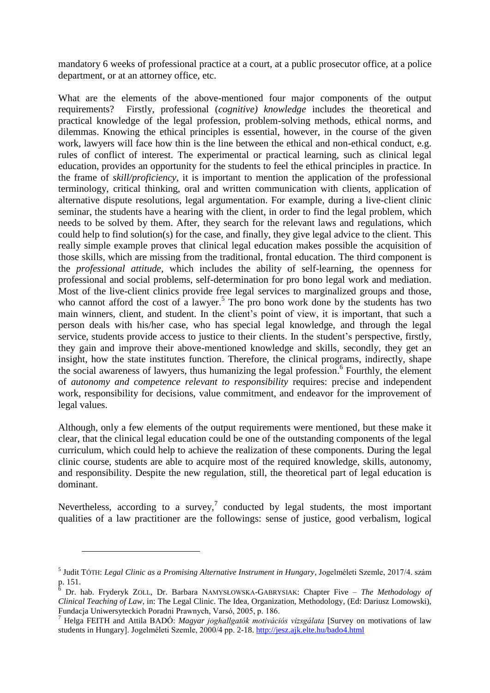mandatory 6 weeks of professional practice at a court, at a public prosecutor office, at a police department, or at an attorney office, etc.

What are the elements of the above-mentioned four major components of the output requirements? Firstly, professional (*cognitive) knowledge* includes the theoretical and practical knowledge of the legal profession, problem-solving methods, ethical norms, and dilemmas. Knowing the ethical principles is essential, however, in the course of the given work, lawyers will face how thin is the line between the ethical and non-ethical conduct, e.g. rules of conflict of interest. The experimental or practical learning, such as clinical legal education, provides an opportunity for the students to feel the ethical principles in practice. In the frame of *skill/proficiency*, it is important to mention the application of the professional terminology, critical thinking, oral and written communication with clients, application of alternative dispute resolutions, legal argumentation. For example, during a live-client clinic seminar, the students have a hearing with the client, in order to find the legal problem, which needs to be solved by them. After, they search for the relevant laws and regulations, which could help to find solution(s) for the case, and finally, they give legal advice to the client. This really simple example proves that clinical legal education makes possible the acquisition of those skills, which are missing from the traditional, frontal education. The third component is the *professional attitude*, which includes the ability of self-learning, the openness for professional and social problems, self-determination for pro bono legal work and mediation. Most of the live-client clinics provide free legal services to marginalized groups and those, who cannot afford the cost of a lawyer.<sup>5</sup> The pro bono work done by the students has two main winners, client, and student. In the client's point of view, it is important, that such a person deals with his/her case, who has special legal knowledge, and through the legal service, students provide access to justice to their clients. In the student's perspective, firstly, they gain and improve their above-mentioned knowledge and skills, secondly, they get an insight, how the state institutes function. Therefore, the clinical programs, indirectly, shape the social awareness of lawyers, thus humanizing the legal profession. 6 Fourthly, the element of *autonomy and competence relevant to responsibility* requires: precise and independent work, responsibility for decisions, value commitment, and endeavor for the improvement of legal values.

Although, only a few elements of the output requirements were mentioned, but these make it clear, that the clinical legal education could be one of the outstanding components of the legal curriculum, which could help to achieve the realization of these components. During the legal clinic course, students are able to acquire most of the required knowledge, skills, autonomy, and responsibility. Despite the new regulation, still, the theoretical part of legal education is dominant.

Nevertheless, according to a survey,<sup>7</sup> conducted by legal students, the most important qualities of a law practitioner are the followings: sense of justice, good verbalism, logical

 $\overline{a}$ 

<sup>5</sup> Judit TÓTH: *Legal Clinic as a Promising Alternative Instrument in Hungary*, Jogelméleti Szemle, 2017/4. szám  $\frac{p. 151}{6}$ .

<sup>6</sup> Dr. hab. Fryderyk ZOLL, Dr. Barbara NAMYSŁOWSKA-GABRYSIAK: Chapter Five – *The Methodology of Clinical Teaching of Law*, in: The Legal Clinic. The Idea, Organization, Methodology, (Ed: Dariusz Lomowski), Fundacja Uniwersyteckich Poradni Prawnych, Varsó, 2005, p. 186.

<sup>7</sup> Helga FEITH and Attila BADÓ: *Magyar joghallgatók motivációs vizsgálata* [Survey on motivations of law students in Hungary]. Jogelméleti Szemle, 2000/4 pp. 2-18.<http://jesz.ajk.elte.hu/bado4.html>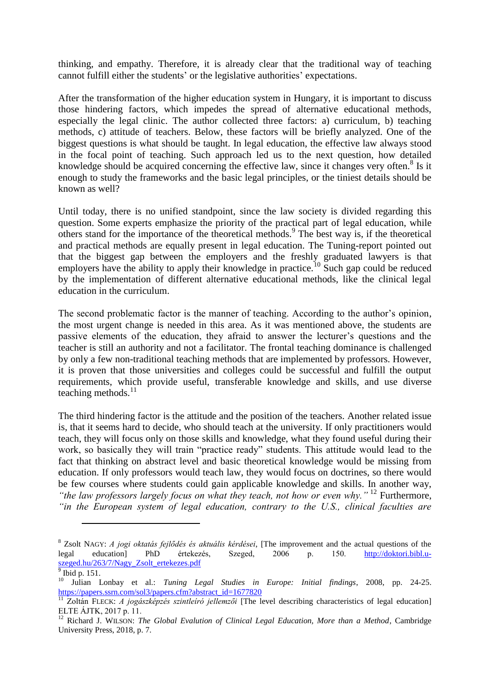thinking, and empathy. Therefore, it is already clear that the traditional way of teaching cannot fulfill either the students' or the legislative authorities' expectations.

After the transformation of the higher education system in Hungary, it is important to discuss those hindering factors, which impedes the spread of alternative educational methods, especially the legal clinic. The author collected three factors: a) curriculum, b) teaching methods, c) attitude of teachers. Below, these factors will be briefly analyzed. One of the biggest questions is what should be taught. In legal education, the effective law always stood in the focal point of teaching. Such approach led us to the next question, how detailed knowledge should be acquired concerning the effective law, since it changes very often. $8$  Is it enough to study the frameworks and the basic legal principles, or the tiniest details should be known as well?

Until today, there is no unified standpoint, since the law society is divided regarding this question. Some experts emphasize the priority of the practical part of legal education, while others stand for the importance of the theoretical methods.<sup>9</sup> The best way is, if the theoretical and practical methods are equally present in legal education. The Tuning-report pointed out that the biggest gap between the employers and the freshly graduated lawyers is that employers have the ability to apply their knowledge in practice.<sup>10</sup> Such gap could be reduced by the implementation of different alternative educational methods, like the clinical legal education in the curriculum.

The second problematic factor is the manner of teaching. According to the author's opinion, the most urgent change is needed in this area. As it was mentioned above, the students are passive elements of the education, they afraid to answer the lecturer's questions and the teacher is still an authority and not a facilitator. The frontal teaching dominance is challenged by only a few non-traditional teaching methods that are implemented by professors. However, it is proven that those universities and colleges could be successful and fulfill the output requirements, which provide useful, transferable knowledge and skills, and use diverse teaching methods. $11$ 

The third hindering factor is the attitude and the position of the teachers. Another related issue is, that it seems hard to decide, who should teach at the university. If only practitioners would teach, they will focus only on those skills and knowledge, what they found useful during their work, so basically they will train "practice ready" students. This attitude would lead to the fact that thinking on abstract level and basic theoretical knowledge would be missing from education. If only professors would teach law, they would focus on doctrines, so there would be few courses where students could gain applicable knowledge and skills. In another way, *"the law professors largely focus on what they teach, not how or even why."* <sup>12</sup> Furthermore, *"in the European system of legal education, contrary to the U.S., clinical faculties are* 

l

<sup>8</sup> Zsolt NAGY: *A jogi oktatás fejlődés és aktuális kérdései*, [The improvement and the actual questions of the legal education] PhD értekezés, Szeged, 2006 p. 150. [http://doktori.bibl.u](http://doktori.bibl.u-szeged.hu/263/7/Nagy_Zsolt_ertekezes.pdf)[szeged.hu/263/7/Nagy\\_Zsolt\\_ertekezes.pdf](http://doktori.bibl.u-szeged.hu/263/7/Nagy_Zsolt_ertekezes.pdf)

<sup>9</sup> Ibid p. 151.

<sup>10</sup> Julian Lonbay et al.: *Tuning Legal Studies in Europe: Initial findings*, 2008, pp. 24-25. https://papers.ssrn.com/sol3/papers.cfm?abstract\_id=1677820

<sup>&</sup>lt;sup>11</sup> Zoltán FLECK: *A jogászképzés szintleíró jellemzői* [The level describing characteristics of legal education] ELTE ÁJTK, 2017 p. 11.

<sup>12</sup> Richard J. WILSON: *The Global Evalution of Clinical Legal Education, More than a Method*, Cambridge University Press, 2018, p. 7.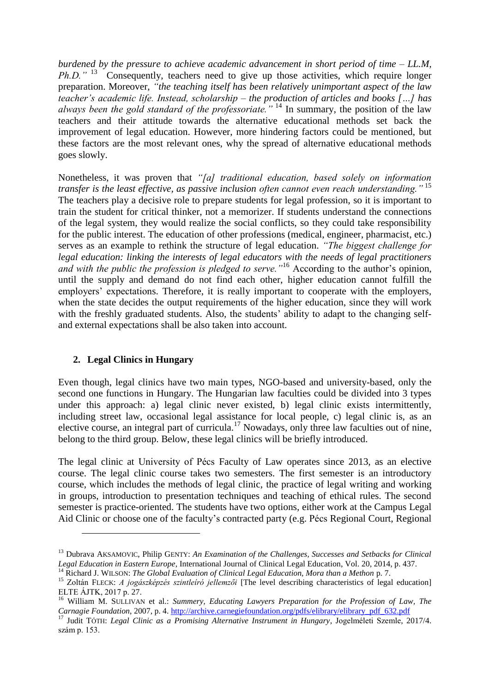*burdened by the pressure to achieve academic advancement in short period of time – LL.M, Ph.D.*"<sup>13</sup> Consequently, teachers need to give up those activities, which require longer preparation. Moreover, *"the teaching itself has been relatively unimportant aspect of the law teacher's academic life. Instead, scholarship – the production of articles and books […] has always been the gold standard of the professoriate."* <sup>14</sup> In summary, the position of the law teachers and their attitude towards the alternative educational methods set back the improvement of legal education. However, more hindering factors could be mentioned, but these factors are the most relevant ones, why the spread of alternative educational methods goes slowly.

Nonetheless, it was proven that *"[a] traditional education, based solely on information transfer is the least effective, as passive inclusion often cannot even reach understanding."* <sup>15</sup> The teachers play a decisive role to prepare students for legal profession, so it is important to train the student for critical thinker, not a memorizer. If students understand the connections of the legal system, they would realize the social conflicts, so they could take responsibility for the public interest. The education of other professions (medical, engineer, pharmacist, etc.) serves as an example to rethink the structure of legal education. *"The biggest challenge for legal education: linking the interests of legal educators with the needs of legal practitioners and with the public the profession is pledged to serve."*<sup>16</sup> According to the author's opinion, until the supply and demand do not find each other, higher education cannot fulfill the employers' expectations. Therefore, it is really important to cooperate with the employers, when the state decides the output requirements of the higher education, since they will work with the freshly graduated students. Also, the students' ability to adapt to the changing selfand external expectations shall be also taken into account.

# **2. Legal Clinics in Hungary**

 $\overline{\phantom{a}}$ 

Even though, legal clinics have two main types, NGO-based and university-based, only the second one functions in Hungary. The Hungarian law faculties could be divided into 3 types under this approach: a) legal clinic never existed, b) legal clinic exists intermittently, including street law, occasional legal assistance for local people, c) legal clinic is, as an elective course, an integral part of curricula.<sup>17</sup> Nowadays, only three law faculties out of nine, belong to the third group. Below, these legal clinics will be briefly introduced.

The legal clinic at University of Pécs Faculty of Law operates since 2013, as an elective course. The legal clinic course takes two semesters. The first semester is an introductory course, which includes the methods of legal clinic, the practice of legal writing and working in groups, introduction to presentation techniques and teaching of ethical rules. The second semester is practice-oriented. The students have two options, either work at the Campus Legal Aid Clinic or choose one of the faculty's contracted party (e.g. Pécs Regional Court, Regional

<sup>13</sup> Dubrava AKSAMOVIC, Philip GENTY: *An Examination of the Challenges, Successes and Setbacks for Clinical Legal Education in Eastern Europe*, International Journal of Clinical Legal Education, Vol. 20, 2014, p. 437.

<sup>14</sup> Richard J. WILSON: *The Global Evaluation of Clinical Legal Education, Mora than a Methon* p. 7.

<sup>15</sup> Zoltán FLECK: *A jogászképzés szintleíró jellemzői* [The level describing characteristics of legal education] ELTE ÁJTK, 2017 p. 27.

<sup>16</sup> William M. SULLIVAN et al.: *Summery, Educating Lawyers Preparation for the Profession of Law, The Carnagie Foundation*, 2007, p. 4. [http://archive.carnegiefoundation.org/pdfs/elibrary/elibrary\\_pdf\\_632.pdf](http://archive.carnegiefoundation.org/pdfs/elibrary/elibrary_pdf_632.pdf)

<sup>17</sup> Judit TÓTH: *Legal Clinic as a Promising Alternative Instrument in Hungary*, Jogelméleti Szemle, 2017/4. szám p. 153.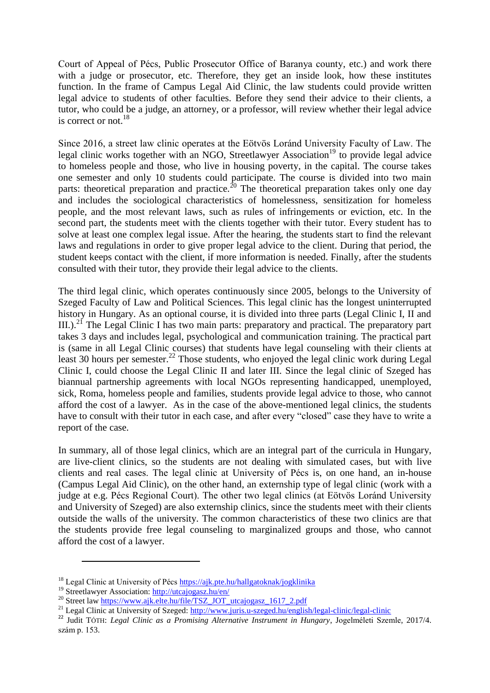Court of Appeal of Pécs, Public Prosecutor Office of Baranya county, etc.) and work there with a judge or prosecutor, etc. Therefore, they get an inside look, how these institutes function. In the frame of Campus Legal Aid Clinic, the law students could provide written legal advice to students of other faculties. Before they send their advice to their clients, a tutor, who could be a judge, an attorney, or a professor, will review whether their legal advice is correct or not. $^{18}$ 

Since 2016, a street law clinic operates at the Eötvös Loránd University Faculty of Law. The legal clinic works together with an NGO, Streetlawyer Association<sup>19</sup> to provide legal advice to homeless people and those, who live in housing poverty, in the capital. The course takes one semester and only 10 students could participate. The course is divided into two main parts: theoretical preparation and practice.<sup>20</sup> The theoretical preparation takes only one day and includes the sociological characteristics of homelessness, sensitization for homeless people, and the most relevant laws, such as rules of infringements or eviction, etc. In the second part, the students meet with the clients together with their tutor. Every student has to solve at least one complex legal issue. After the hearing, the students start to find the relevant laws and regulations in order to give proper legal advice to the client. During that period, the student keeps contact with the client, if more information is needed. Finally, after the students consulted with their tutor, they provide their legal advice to the clients.

The third legal clinic, which operates continuously since 2005, belongs to the University of Szeged Faculty of Law and Political Sciences. This legal clinic has the longest uninterrupted history in Hungary. As an optional course, it is divided into three parts (Legal Clinic I, II and III.).<sup>21</sup> The Legal Clinic I has two main parts: preparatory and practical. The preparatory part takes 3 days and includes legal, psychological and communication training. The practical part is (same in all Legal Clinic courses) that students have legal counseling with their clients at least 30 hours per semester.<sup>22</sup> Those students, who enjoyed the legal clinic work during Legal Clinic I, could choose the Legal Clinic II and later III. Since the legal clinic of Szeged has biannual partnership agreements with local NGOs representing handicapped, unemployed, sick, Roma, homeless people and families, students provide legal advice to those, who cannot afford the cost of a lawyer. As in the case of the above-mentioned legal clinics, the students have to consult with their tutor in each case, and after every "closed" case they have to write a report of the case.

In summary, all of those legal clinics, which are an integral part of the curricula in Hungary, are live-client clinics, so the students are not dealing with simulated cases, but with live clients and real cases. The legal clinic at University of Pécs is, on one hand, an in-house (Campus Legal Aid Clinic), on the other hand, an externship type of legal clinic (work with a judge at e.g. Pécs Regional Court). The other two legal clinics (at Eötvös Loránd University and University of Szeged) are also externship clinics, since the students meet with their clients outside the walls of the university. The common characteristics of these two clinics are that the students provide free legal counseling to marginalized groups and those, who cannot afford the cost of a lawyer.

 $\overline{a}$ 

<sup>&</sup>lt;sup>18</sup> Legal Clinic at University of Pécs<https://ajk.pte.hu/hallgatoknak/jogklinika>

<sup>19</sup> Streetlawyer Association:<http://utcajogasz.hu/en/>

<sup>&</sup>lt;sup>20</sup> Street la[w https://www.ajk.elte.hu/file/TSZ\\_JOT\\_utcajogasz\\_1617\\_2.pdf](https://www.ajk.elte.hu/file/TSZ_JOT_utcajogasz_1617_2.pdf)

<sup>&</sup>lt;sup>21</sup> Legal Clinic at University of Szeged: <http://www.juris.u-szeged.hu/english/legal-clinic/legal-clinic>

<sup>22</sup> Judit TÓTH: *Legal Clinic as a Promising Alternative Instrument in Hungary*, Jogelméleti Szemle, 2017/4. szám p. 153.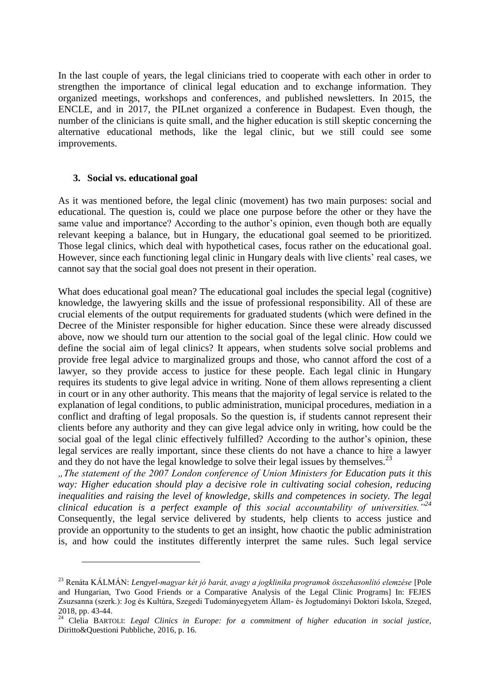In the last couple of years, the legal clinicians tried to cooperate with each other in order to strengthen the importance of clinical legal education and to exchange information. They organized meetings, workshops and conferences, and published newsletters. In 2015, the ENCLE, and in 2017, the PILnet organized a conference in Budapest. Even though, the number of the clinicians is quite small, and the higher education is still skeptic concerning the alternative educational methods, like the legal clinic, but we still could see some improvements.

## **3. Social vs. educational goal**

 $\overline{\phantom{a}}$ 

As it was mentioned before, the legal clinic (movement) has two main purposes: social and educational. The question is, could we place one purpose before the other or they have the same value and importance? According to the author's opinion, even though both are equally relevant keeping a balance, but in Hungary, the educational goal seemed to be prioritized. Those legal clinics, which deal with hypothetical cases, focus rather on the educational goal. However, since each functioning legal clinic in Hungary deals with live clients' real cases, we cannot say that the social goal does not present in their operation.

What does educational goal mean? The educational goal includes the special legal (cognitive) knowledge, the lawyering skills and the issue of professional responsibility. All of these are crucial elements of the output requirements for graduated students (which were defined in the Decree of the Minister responsible for higher education. Since these were already discussed above, now we should turn our attention to the social goal of the legal clinic. How could we define the social aim of legal clinics? It appears, when students solve social problems and provide free legal advice to marginalized groups and those, who cannot afford the cost of a lawyer, so they provide access to justice for these people. Each legal clinic in Hungary requires its students to give legal advice in writing. None of them allows representing a client in court or in any other authority. This means that the majority of legal service is related to the explanation of legal conditions, to public administration, municipal procedures, mediation in a conflict and drafting of legal proposals. So the question is, if students cannot represent their clients before any authority and they can give legal advice only in writing, how could be the social goal of the legal clinic effectively fulfilled? According to the author's opinion, these legal services are really important, since these clients do not have a chance to hire a lawyer and they do not have the legal knowledge to solve their legal issues by themselves.<sup>23</sup>

*"The statement of the 2007 London conference of Union Ministers for Education puts it this way: Higher education should play a decisive role in cultivating social cohesion, reducing inequalities and raising the level of knowledge, skills and competences in society. The legal clinical education is a perfect example of this social accountability of universities."<sup>24</sup>* Consequently, the legal service delivered by students, help clients to access justice and provide an opportunity to the students to get an insight, how chaotic the public administration is, and how could the institutes differently interpret the same rules. Such legal service

<sup>23</sup> Renáta KÁLMÁN: *Lengyel-magyar két jó barát, avagy a jogklinika programok összehasonlító elemzése* [Pole and Hungarian, Two Good Friends or a Comparative Analysis of the Legal Clinic Programs] In: FEJES Zsuzsanna (szerk.): Jog és Kultúra, Szegedi Tudományegyetem Állam- és Jogtudományi Doktori Iskola, Szeged, 2018, pp. 43-44.

<sup>24</sup> Clelia BARTOLI: *Legal Clinics in Europe: for a commitment of higher education in social justice,*  Diritto&Questioni Pubbliche, 2016, p. 16.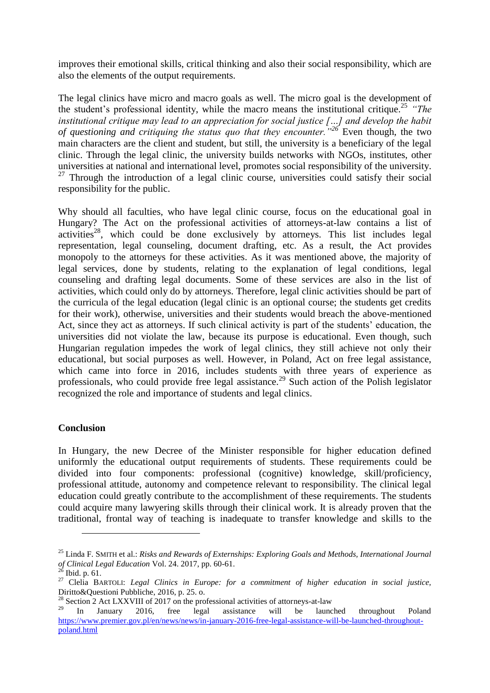improves their emotional skills, critical thinking and also their social responsibility, which are also the elements of the output requirements.

The legal clinics have micro and macro goals as well. The micro goal is the development of the student's professional identity, while the macro means the institutional critique.<sup>25</sup> *"The institutional critique may lead to an appreciation for social justice […] and develop the habit of questioning and critiquing the status quo that they encounter."<sup>26</sup>* Even though, the two main characters are the client and student, but still, the university is a beneficiary of the legal clinic. Through the legal clinic, the university builds networks with NGOs, institutes, other universities at national and international level, promotes social responsibility of the university.  $27$  Through the introduction of a legal clinic course, universities could satisfy their social responsibility for the public.

Why should all faculties, who have legal clinic course, focus on the educational goal in Hungary? The Act on the professional activities of attorneys-at-law contains a list of activities<sup>28</sup>, which could be done exclusively by attorneys. This list includes legal representation, legal counseling, document drafting, etc. As a result, the Act provides monopoly to the attorneys for these activities. As it was mentioned above, the majority of legal services, done by students, relating to the explanation of legal conditions, legal counseling and drafting legal documents. Some of these services are also in the list of activities, which could only do by attorneys. Therefore, legal clinic activities should be part of the curricula of the legal education (legal clinic is an optional course; the students get credits for their work), otherwise, universities and their students would breach the above-mentioned Act, since they act as attorneys. If such clinical activity is part of the students' education, the universities did not violate the law, because its purpose is educational. Even though, such Hungarian regulation impedes the work of legal clinics, they still achieve not only their educational, but social purposes as well. However, in Poland, Act on free legal assistance, which came into force in 2016, includes students with three years of experience as professionals, who could provide free legal assistance.<sup>29</sup> Such action of the Polish legislator recognized the role and importance of students and legal clinics.

## **Conclusion**

In Hungary, the new Decree of the Minister responsible for higher education defined uniformly the educational output requirements of students. These requirements could be divided into four components: professional (cognitive) knowledge, skill/proficiency, professional attitude, autonomy and competence relevant to responsibility. The clinical legal education could greatly contribute to the accomplishment of these requirements. The students could acquire many lawyering skills through their clinical work. It is already proven that the traditional, frontal way of teaching is inadequate to transfer knowledge and skills to the

 $\overline{\phantom{a}}$ 

<sup>25</sup> Linda F. SMITH et al.: *Risks and Rewards of Externships: Exploring Goals and Methods, International Journal of Clinical Legal Education Vol. 24. 2017, pp. 60-61.*<br><sup>26</sup> a.i.i.

Ibid. p. 61.

<sup>27</sup> Clelia BARTOLI: *Legal Clinics in Europe: for a commitment of higher education in social justice,*  Diritto&Questioni Pubbliche, 2016, p. 25. o.

<sup>&</sup>lt;sup>28</sup> Section 2 Act LXXVIII of 2017 on the professional activities of attorneys-at-law<br><sup>29</sup> **In** January 2016 free local assistance will be laung

 $^{29}$  In January 2016, free legal assistance will be launched throughout Poland [https://www.premier.gov.pl/en/news/news/in-january-2016-free-legal-assistance-will-be-launched-throughout](https://www.premier.gov.pl/en/news/news/in-january-2016-free-legal-assistance-will-be-launched-throughout-poland.html)[poland.html](https://www.premier.gov.pl/en/news/news/in-january-2016-free-legal-assistance-will-be-launched-throughout-poland.html)